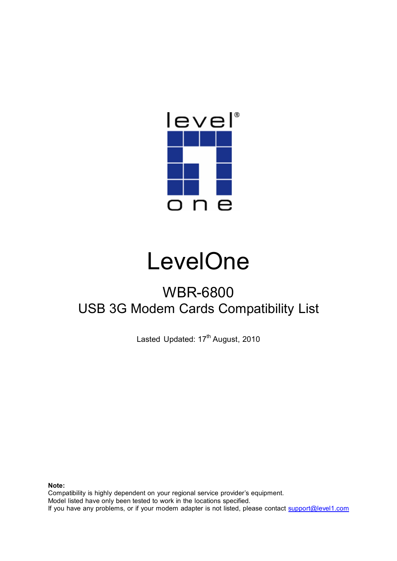

## **LevelOne**

## WBR-6800 USB 3G Modem Cards Compatibility List

Lasted Updated: 17<sup>th</sup> August, 2010

**Note:**

Compatibility is highly dependent on your regional service provider's equipment. Model listed have only been tested to work in the locations specified. If you have any problems, or if your modem adapter is not listed, please contact support@level1.com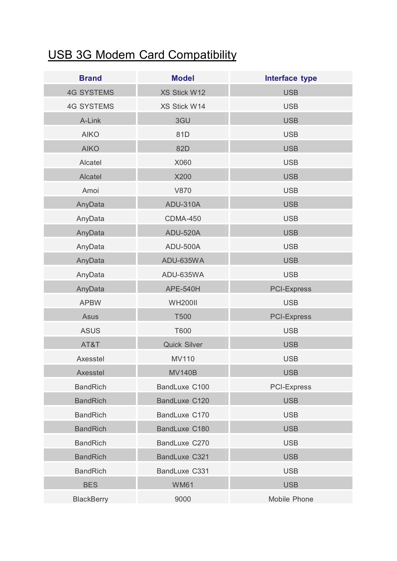## USB 3G Modem Card Compatibility

| <b>Brand</b>      | <b>Model</b>        | Interface type     |
|-------------------|---------------------|--------------------|
| <b>4G SYSTEMS</b> | XS Stick W12        | <b>USB</b>         |
| <b>4G SYSTEMS</b> | XS Stick W14        | <b>USB</b>         |
| A-Link            | 3GU                 | <b>USB</b>         |
| <b>AIKO</b>       | 81D                 | <b>USB</b>         |
| <b>AIKO</b>       | 82D                 | <b>USB</b>         |
| Alcatel           | X060                | <b>USB</b>         |
| Alcatel           | X200                | <b>USB</b>         |
| Amoi              | <b>V870</b>         | <b>USB</b>         |
| AnyData           | <b>ADU-310A</b>     | <b>USB</b>         |
| AnyData           | <b>CDMA-450</b>     | <b>USB</b>         |
| AnyData           | <b>ADU-520A</b>     | <b>USB</b>         |
| AnyData           | ADU-500A            | <b>USB</b>         |
| AnyData           | ADU-635WA           | <b>USB</b>         |
| AnyData           | ADU-635WA           | <b>USB</b>         |
| AnyData           | <b>APE-540H</b>     | <b>PCI-Express</b> |
| <b>APBW</b>       | <b>WH200II</b>      | <b>USB</b>         |
| Asus              | <b>T500</b>         | <b>PCI-Express</b> |
| <b>ASUS</b>       | T600                | <b>USB</b>         |
| AT&T              | <b>Quick Silver</b> | <b>USB</b>         |
| Axesstel          | <b>MV110</b>        | <b>USB</b>         |
| Axesstel          | <b>MV140B</b>       | <b>USB</b>         |
| <b>BandRich</b>   | BandLuxe C100       | <b>PCI-Express</b> |
| <b>BandRich</b>   | BandLuxe C120       | <b>USB</b>         |
| <b>BandRich</b>   | BandLuxe C170       | <b>USB</b>         |
| <b>BandRich</b>   | BandLuxe C180       | <b>USB</b>         |
| <b>BandRich</b>   | BandLuxe C270       | <b>USB</b>         |
| <b>BandRich</b>   | BandLuxe C321       | <b>USB</b>         |
| <b>BandRich</b>   | BandLuxe C331       | <b>USB</b>         |
| <b>BES</b>        | <b>WM61</b>         | <b>USB</b>         |
| <b>BlackBerry</b> | 9000                | Mobile Phone       |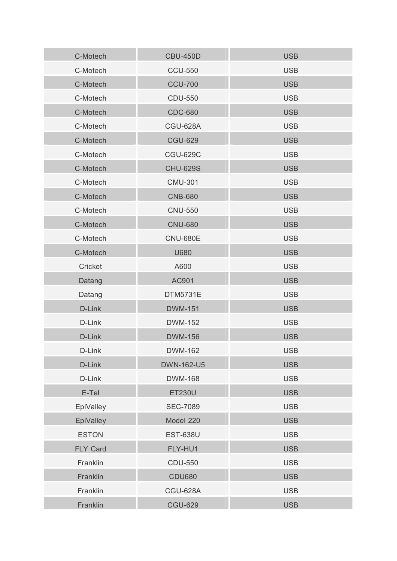| C-Motech        | <b>CBU-450D</b>   | <b>USB</b> |
|-----------------|-------------------|------------|
| C-Motech        | <b>CCU-550</b>    | <b>USB</b> |
| C-Motech        | <b>CCU-700</b>    | <b>USB</b> |
| C-Motech        | <b>CDU-550</b>    | <b>USB</b> |
| C-Motech        | <b>CDC-680</b>    | <b>USB</b> |
| C-Motech        | <b>CGU-628A</b>   | <b>USB</b> |
| C-Motech        | <b>CGU-629</b>    | <b>USB</b> |
| C-Motech        | <b>CGU-629C</b>   | <b>USB</b> |
| C-Motech        | <b>CHU-629S</b>   | <b>USB</b> |
| C-Motech        | <b>CMU-301</b>    | <b>USB</b> |
| C-Motech        | <b>CNB-680</b>    | <b>USB</b> |
| C-Motech        | <b>CNU-550</b>    | <b>USB</b> |
| C-Motech        | <b>CNU-680</b>    | <b>USB</b> |
| C-Motech        | <b>CNU-680E</b>   | <b>USB</b> |
| C-Motech        | U680              | <b>USB</b> |
| Cricket         | A600              | <b>USB</b> |
| Datang          | AC901             | <b>USB</b> |
| Datang          | DTM5731E          | <b>USB</b> |
| D-Link          | <b>DWM-151</b>    | <b>USB</b> |
| D-Link          | <b>DWM-152</b>    | <b>USB</b> |
| D-Link          | <b>DWM-156</b>    | <b>USB</b> |
| D-Link          | <b>DWM-162</b>    | <b>USB</b> |
| D-Link          | <b>DWN-162-U5</b> | <b>USB</b> |
| D-Link          | <b>DWM-168</b>    | <b>USB</b> |
| E-Tel           | <b>ET230U</b>     | <b>USB</b> |
| EpiValley       | <b>SEC-7089</b>   | <b>USB</b> |
| EpiValley       | Model 220         | <b>USB</b> |
| <b>ESTON</b>    | <b>EST-638U</b>   | <b>USB</b> |
| <b>FLY Card</b> | FLY-HU1           | <b>USB</b> |
| Franklin        | <b>CDU-550</b>    | <b>USB</b> |
| Franklin        | <b>CDU680</b>     | <b>USB</b> |
| Franklin        | <b>CGU-628A</b>   | <b>USB</b> |
| Franklin        | <b>CGU-629</b>    | <b>USB</b> |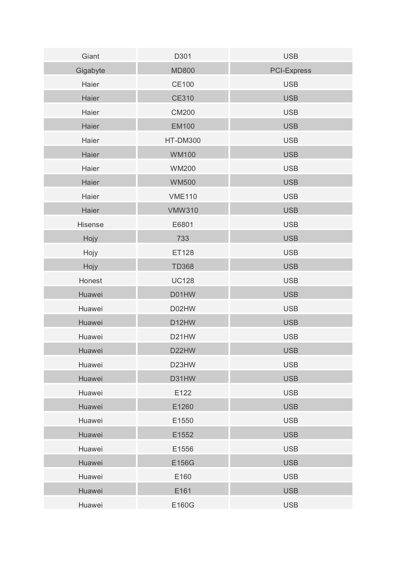| Giant    | D301            | <b>USB</b>         |
|----------|-----------------|--------------------|
| Gigabyte | <b>MD800</b>    | <b>PCI-Express</b> |
| Haier    | <b>CE100</b>    | <b>USB</b>         |
| Haier    | <b>CE310</b>    | <b>USB</b>         |
| Haier    | <b>CM200</b>    | <b>USB</b>         |
| Haier    | <b>EM100</b>    | <b>USB</b>         |
| Haier    | <b>HT-DM300</b> | <b>USB</b>         |
| Haier    | <b>WM100</b>    | <b>USB</b>         |
| Haier    | <b>WM200</b>    | <b>USB</b>         |
| Haier    | <b>WM500</b>    | <b>USB</b>         |
| Haier    | <b>VME110</b>   | <b>USB</b>         |
| Haier    | <b>VMW310</b>   | <b>USB</b>         |
| Hisense  | E6801           | <b>USB</b>         |
| Hojy     | 733             | <b>USB</b>         |
| Hojy     | ET128           | <b>USB</b>         |
| Hojy     | <b>TD368</b>    | <b>USB</b>         |
| Honest   | <b>UC128</b>    | <b>USB</b>         |
| Huawei   | D01HW           | <b>USB</b>         |
| Huawei   | D02HW           | <b>USB</b>         |
| Huawei   | D12HW           | <b>USB</b>         |
| Huawei   | D21HW           | <b>USB</b>         |
| Huawei   | D22HW           | <b>USB</b>         |
| Huawei   | D23HW           | <b>USB</b>         |
| Huawei   | D31HW           | <b>USB</b>         |
| Huawei   | E122            | <b>USB</b>         |
| Huawei   | E1260           | <b>USB</b>         |
| Huawei   | E1550           | <b>USB</b>         |
| Huawei   | E1552           | <b>USB</b>         |
| Huawei   | E1556           | <b>USB</b>         |
| Huawei   | E156G           | <b>USB</b>         |
| Huawei   | E160            | <b>USB</b>         |
| Huawei   | E161            | <b>USB</b>         |
| Huawei   | E160G           | <b>USB</b>         |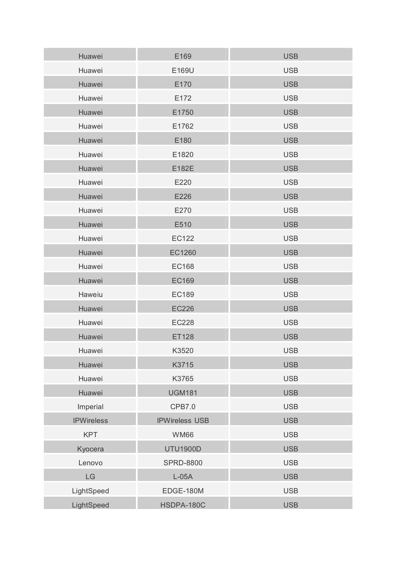| Huawei            | E169                  | <b>USB</b> |
|-------------------|-----------------------|------------|
| Huawei            | E169U                 | <b>USB</b> |
| Huawei            | E170                  | <b>USB</b> |
| Huawei            | E172                  | <b>USB</b> |
| Huawei            | E1750                 | <b>USB</b> |
| Huawei            | E1762                 | <b>USB</b> |
| Huawei            | E180                  | <b>USB</b> |
| Huawei            | E1820                 | <b>USB</b> |
| Huawei            | E182E                 | <b>USB</b> |
| Huawei            | E220                  | <b>USB</b> |
| Huawei            | E226                  | <b>USB</b> |
| Huawei            | E270                  | <b>USB</b> |
| Huawei            | E510                  | <b>USB</b> |
| Huawei            | <b>EC122</b>          | <b>USB</b> |
| Huawei            | EC1260                | <b>USB</b> |
| Huawei            | <b>EC168</b>          | <b>USB</b> |
| Huawei            | <b>EC169</b>          | <b>USB</b> |
| Haweiu            | <b>EC189</b>          | <b>USB</b> |
| Huawei            | <b>EC226</b>          | <b>USB</b> |
| Huawei            | <b>EC228</b>          | <b>USB</b> |
| Huawei            | <b>ET128</b>          | <b>USB</b> |
| Huawei            | K3520                 | <b>USB</b> |
| Huawei            | K3715                 | <b>USB</b> |
| Huawei            | K3765                 | <b>USB</b> |
| Huawei            | <b>UGM181</b>         | <b>USB</b> |
| Imperial          | CPB7.0                | <b>USB</b> |
| <b>IPWireless</b> | <b>IPWireless USB</b> | <b>USB</b> |
| <b>KPT</b>        | <b>WM66</b>           | <b>USB</b> |
| Kyocera           | <b>UTU1900D</b>       | <b>USB</b> |
| Lenovo            | <b>SPRD-8800</b>      | <b>USB</b> |
| LG                | $L-05A$               | <b>USB</b> |
| LightSpeed        | EDGE-180M             | <b>USB</b> |
| LightSpeed        | HSDPA-180C            | <b>USB</b> |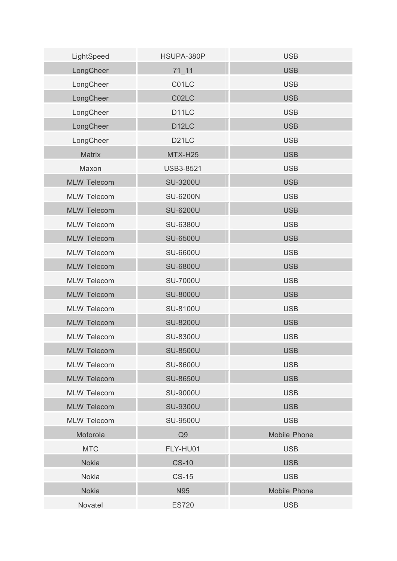| LightSpeed         | HSUPA-380P         | <b>USB</b>          |
|--------------------|--------------------|---------------------|
| LongCheer          | $71 - 11$          | <b>USB</b>          |
| LongCheer          | C01LC              | <b>USB</b>          |
| LongCheer          | C02LC              | <b>USB</b>          |
| LongCheer          | D <sub>11</sub> LC | <b>USB</b>          |
| LongCheer          | D <sub>12</sub> LC | <b>USB</b>          |
| LongCheer          | D <sub>21</sub> LC | <b>USB</b>          |
| Matrix             | MTX-H25            | <b>USB</b>          |
| Maxon              | <b>USB3-8521</b>   | <b>USB</b>          |
| <b>MLW Telecom</b> | <b>SU-3200U</b>    | <b>USB</b>          |
| <b>MLW Telecom</b> | <b>SU-6200N</b>    | <b>USB</b>          |
| <b>MLW Telecom</b> | <b>SU-6200U</b>    | <b>USB</b>          |
| <b>MLW Telecom</b> | <b>SU-6380U</b>    | <b>USB</b>          |
| <b>MLW Telecom</b> | <b>SU-6500U</b>    | <b>USB</b>          |
| <b>MLW Telecom</b> | SU-6600U           | <b>USB</b>          |
| <b>MLW Telecom</b> | <b>SU-6800U</b>    | <b>USB</b>          |
| <b>MLW Telecom</b> | <b>SU-7000U</b>    | <b>USB</b>          |
| <b>MLW Telecom</b> | <b>SU-8000U</b>    | <b>USB</b>          |
| <b>MLW Telecom</b> | SU-8100U           | <b>USB</b>          |
| <b>MLW Telecom</b> | <b>SU-8200U</b>    | <b>USB</b>          |
| <b>MLW Telecom</b> | <b>SU-8300U</b>    | <b>USB</b>          |
| <b>MLW Telecom</b> | <b>SU-8500U</b>    | <b>USB</b>          |
| <b>MLW Telecom</b> | <b>SU-8600U</b>    | <b>USB</b>          |
| <b>MLW Telecom</b> | <b>SU-8650U</b>    | <b>USB</b>          |
| <b>MLW Telecom</b> | <b>SU-9000U</b>    | <b>USB</b>          |
| <b>MLW Telecom</b> | <b>SU-9300U</b>    | <b>USB</b>          |
| <b>MLW Telecom</b> | <b>SU-9500U</b>    | <b>USB</b>          |
| Motorola           | Q <sub>9</sub>     | <b>Mobile Phone</b> |
| <b>MTC</b>         | FLY-HU01           | <b>USB</b>          |
| <b>Nokia</b>       | <b>CS-10</b>       | <b>USB</b>          |
| <b>Nokia</b>       | $CS-15$            | <b>USB</b>          |
| <b>Nokia</b>       | N95                | Mobile Phone        |
| Novatel            | <b>ES720</b>       | <b>USB</b>          |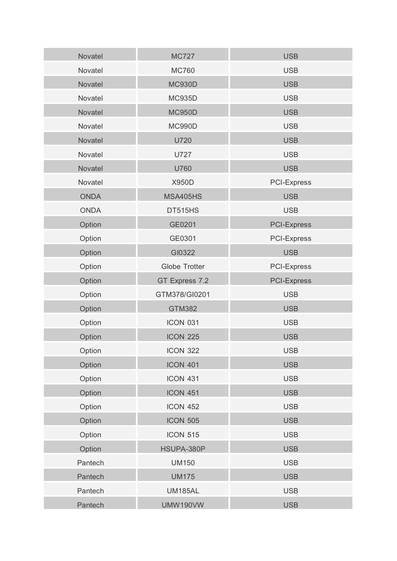| <b>Novatel</b> | <b>MC727</b>         | <b>USB</b>         |
|----------------|----------------------|--------------------|
| Novatel        | <b>MC760</b>         | <b>USB</b>         |
| Novatel        | <b>MC930D</b>        | <b>USB</b>         |
| Novatel        | <b>MC935D</b>        | <b>USB</b>         |
| Novatel        | <b>MC950D</b>        | <b>USB</b>         |
| Novatel        | <b>MC990D</b>        | <b>USB</b>         |
| Novatel        | U720                 | <b>USB</b>         |
| Novatel        | <b>U727</b>          | <b>USB</b>         |
| Novatel        | U760                 | <b>USB</b>         |
| Novatel        | <b>X950D</b>         | <b>PCI-Express</b> |
| <b>ONDA</b>    | <b>MSA405HS</b>      | <b>USB</b>         |
| <b>ONDA</b>    | DT515HS              | <b>USB</b>         |
| Option         | GE0201               | <b>PCI-Express</b> |
| Option         | GE0301               | <b>PCI-Express</b> |
| Option         | GI0322               | <b>USB</b>         |
| Option         | <b>Globe Trotter</b> | <b>PCI-Express</b> |
| Option         | GT Express 7.2       | <b>PCI-Express</b> |
| Option         | GTM378/GI0201        | <b>USB</b>         |
| Option         | <b>GTM382</b>        | <b>USB</b>         |
| Option         | <b>ICON 031</b>      | <b>USB</b>         |
| Option         | <b>ICON 225</b>      | <b>USB</b>         |
| Option         | <b>ICON 322</b>      | <b>USB</b>         |
| Option         | <b>ICON 401</b>      | <b>USB</b>         |
| Option         | <b>ICON 431</b>      | <b>USB</b>         |
| Option         | <b>ICON 451</b>      | <b>USB</b>         |
| Option         | <b>ICON 452</b>      | <b>USB</b>         |
| Option         | <b>ICON 505</b>      | <b>USB</b>         |
| Option         | <b>ICON 515</b>      | <b>USB</b>         |
| Option         | HSUPA-380P           | <b>USB</b>         |
| Pantech        | <b>UM150</b>         | <b>USB</b>         |
| Pantech        | <b>UM175</b>         | <b>USB</b>         |
| Pantech        | <b>UM185AL</b>       | <b>USB</b>         |
| Pantech        | <b>UMW190VW</b>      | <b>USB</b>         |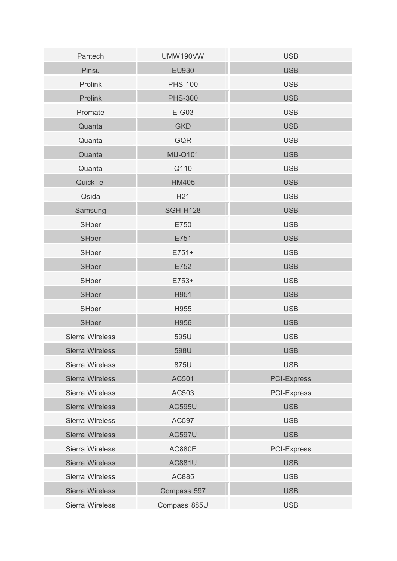| Pantech                | <b>UMW190VW</b> | <b>USB</b>         |
|------------------------|-----------------|--------------------|
| Pinsu                  | EU930           | <b>USB</b>         |
| Prolink                | <b>PHS-100</b>  | <b>USB</b>         |
| Prolink                | <b>PHS-300</b>  | <b>USB</b>         |
| Promate                | E-G03           | <b>USB</b>         |
| Quanta                 | <b>GKD</b>      | <b>USB</b>         |
| Quanta                 | GQR             | <b>USB</b>         |
| Quanta                 | <b>MU-Q101</b>  | <b>USB</b>         |
| Quanta                 | Q110            | <b>USB</b>         |
| QuickTel               | <b>HM405</b>    | <b>USB</b>         |
| Qsida                  | H <sub>21</sub> | <b>USB</b>         |
| Samsung                | <b>SGH-H128</b> | <b>USB</b>         |
| <b>SHber</b>           | E750            | <b>USB</b>         |
| <b>SHber</b>           | E751            | <b>USB</b>         |
| <b>SHber</b>           | $E751+$         | <b>USB</b>         |
| <b>SHber</b>           | E752            | <b>USB</b>         |
| <b>SHber</b>           | E753+           | <b>USB</b>         |
| <b>SHber</b>           | H951            | <b>USB</b>         |
| <b>SHber</b>           | H955            | <b>USB</b>         |
| <b>SHber</b>           | H956            | <b>USB</b>         |
| Sierra Wireless        | 595U            | <b>USB</b>         |
| <b>Sierra Wireless</b> | 598U            | <b>USB</b>         |
| Sierra Wireless        | 875U            | <b>USB</b>         |
| <b>Sierra Wireless</b> | AC501           | <b>PCI-Express</b> |
| Sierra Wireless        | AC503           | <b>PCI-Express</b> |
| <b>Sierra Wireless</b> | <b>AC595U</b>   | <b>USB</b>         |
| Sierra Wireless        | AC597           | <b>USB</b>         |
| <b>Sierra Wireless</b> | <b>AC597U</b>   | <b>USB</b>         |
| Sierra Wireless        | <b>AC880E</b>   | <b>PCI-Express</b> |
| <b>Sierra Wireless</b> | <b>AC881U</b>   | <b>USB</b>         |
| Sierra Wireless        | AC885           | <b>USB</b>         |
| Sierra Wireless        | Compass 597     | <b>USB</b>         |
| Sierra Wireless        | Compass 885U    | <b>USB</b>         |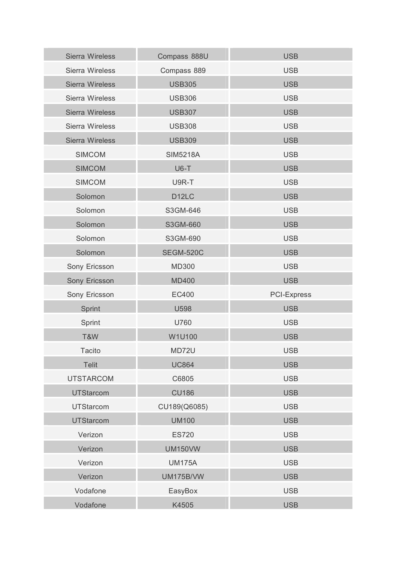| <b>Sierra Wireless</b> | Compass 888U       | <b>USB</b>         |
|------------------------|--------------------|--------------------|
| Sierra Wireless        | Compass 889        | <b>USB</b>         |
| Sierra Wireless        | <b>USB305</b>      | <b>USB</b>         |
| Sierra Wireless        | <b>USB306</b>      | <b>USB</b>         |
| <b>Sierra Wireless</b> | <b>USB307</b>      | <b>USB</b>         |
| Sierra Wireless        | <b>USB308</b>      | <b>USB</b>         |
| Sierra Wireless        | <b>USB309</b>      | <b>USB</b>         |
| <b>SIMCOM</b>          | <b>SIM5218A</b>    | <b>USB</b>         |
| <b>SIMCOM</b>          | $U6-T$             | <b>USB</b>         |
| <b>SIMCOM</b>          | U9R-T              | <b>USB</b>         |
| Solomon                | D <sub>12</sub> LC | <b>USB</b>         |
| Solomon                | S3GM-646           | <b>USB</b>         |
| Solomon                | S3GM-660           | <b>USB</b>         |
| Solomon                | S3GM-690           | <b>USB</b>         |
| Solomon                | <b>SEGM-520C</b>   | <b>USB</b>         |
| Sony Ericsson          | <b>MD300</b>       | <b>USB</b>         |
| Sony Ericsson          | <b>MD400</b>       | <b>USB</b>         |
| Sony Ericsson          | <b>EC400</b>       | <b>PCI-Express</b> |
| Sprint                 | U598               | <b>USB</b>         |
| Sprint                 | U760               | <b>USB</b>         |
| T&W                    | W1U100             | <b>USB</b>         |
| <b>Tacito</b>          | MD72U              | <b>USB</b>         |
| Telit                  | <b>UC864</b>       | <b>USB</b>         |
| <b>UTSTARCOM</b>       | C6805              | <b>USB</b>         |
| <b>UTStarcom</b>       | <b>CU186</b>       | <b>USB</b>         |
| <b>UTStarcom</b>       | CU189(Q6085)       | <b>USB</b>         |
| <b>UTStarcom</b>       | <b>UM100</b>       | <b>USB</b>         |
| Verizon                | <b>ES720</b>       | <b>USB</b>         |
| Verizon                | <b>UM150VW</b>     | <b>USB</b>         |
| Verizon                | <b>UM175A</b>      | <b>USB</b>         |
| Verizon                | <b>UM175B/VW</b>   | <b>USB</b>         |
| Vodafone               | EasyBox            | <b>USB</b>         |
| Vodafone               | K4505              | <b>USB</b>         |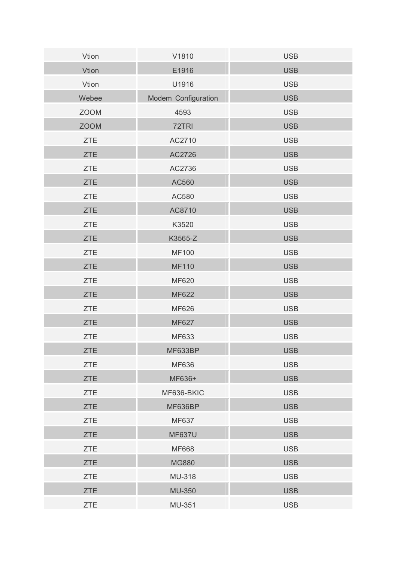| Vtion       | V1810               | <b>USB</b> |
|-------------|---------------------|------------|
| Vtion       | E1916               | <b>USB</b> |
| Vtion       | U1916               | <b>USB</b> |
| Webee       | Modem Configuration | <b>USB</b> |
| <b>ZOOM</b> | 4593                | <b>USB</b> |
| <b>ZOOM</b> | 72TRI               | <b>USB</b> |
| <b>ZTE</b>  | AC2710              | <b>USB</b> |
| <b>ZTE</b>  | AC2726              | <b>USB</b> |
| <b>ZTE</b>  | AC2736              | <b>USB</b> |
| <b>ZTE</b>  | AC560               | <b>USB</b> |
| <b>ZTE</b>  | AC580               | <b>USB</b> |
| <b>ZTE</b>  | AC8710              | <b>USB</b> |
| <b>ZTE</b>  | K3520               | <b>USB</b> |
| <b>ZTE</b>  | K3565-Z             | <b>USB</b> |
| <b>ZTE</b>  | <b>MF100</b>        | <b>USB</b> |
| <b>ZTE</b>  | <b>MF110</b>        | <b>USB</b> |
| <b>ZTE</b>  | <b>MF620</b>        | <b>USB</b> |
| <b>ZTE</b>  | <b>MF622</b>        | <b>USB</b> |
| <b>ZTE</b>  | <b>MF626</b>        | <b>USB</b> |
| <b>ZTE</b>  | <b>MF627</b>        | <b>USB</b> |
| <b>ZTE</b>  | MF633               | <b>USB</b> |
| <b>ZTE</b>  | MF633BP             | <b>USB</b> |
| <b>ZTE</b>  | MF636               | <b>USB</b> |
| <b>ZTE</b>  | MF636+              | <b>USB</b> |
| <b>ZTE</b>  | MF636-BKIC          | <b>USB</b> |
| <b>ZTE</b>  | MF636BP             | <b>USB</b> |
| <b>ZTE</b>  | MF637               | <b>USB</b> |
| <b>ZTE</b>  | <b>MF637U</b>       | <b>USB</b> |
| <b>ZTE</b>  | <b>MF668</b>        | <b>USB</b> |
| <b>ZTE</b>  | <b>MG880</b>        | <b>USB</b> |
| <b>ZTE</b>  | <b>MU-318</b>       | <b>USB</b> |
| <b>ZTE</b>  | MU-350              | <b>USB</b> |
| <b>ZTE</b>  | MU-351              | <b>USB</b> |